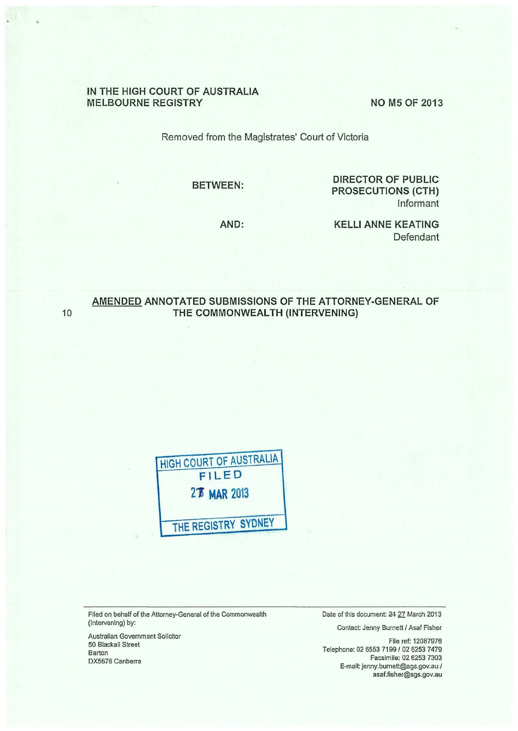## **IN THE HIGH COURT OF AUSTRALIA MELBOURNE REGISTRY NO M5 OF 2013**

Removed from the Magistrates' Court of Victoria

**BETWEEN:** 

**DIRECTOR OF PUBLIC PROSECUTIONS (CTH)**  Informant

**AND:** 

**KELLI ANNE KEATING**  Defendant

# **AMENDED ANNOTATED SUBMISSIONS OF THE ATTORNEY-GENERAL OF**  10 **THE COMMONWEALTH (INTERVENING)**



Filed on behalf of the Attorney-General of the Commonwealth (Intervening) by:

Australian Government Solicitor 50 Blackall Street Barton DX5678 Canberra

Date of this document: 24 27 March 2013

Contact: Jenny Burnett I Asaf Fisher

File ref: 12087976 Telephone: 02 6553 7199 / 02 6253 7479 Facsimile: 02 6253 7303 E-mail: jenny.burnett@ags.gov.au I asaf.fisher@ags.gov.au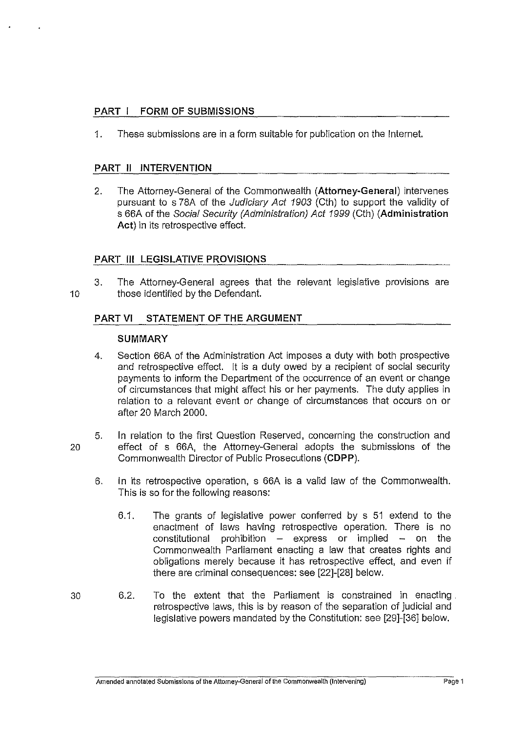# **PART I FORM OF SUBMISSIONS**

1. These submissions are in a form suitable for publication on the Internet.

# **PART II INTERVENTION**

2. The Attorney-General of the Commonwealth **(Attorney-General)** intervenes pursuant to s 78A of the Judiciary Act 1903 (Cth) to support the validity of s 66A of the Social Security (Administration) Act 1999 (Cth) **(Administration Act)** in its retrospective effect.

# **PART Ill LEGISLATIVE PROVISIONS**

3. The Attorney-General agrees that the relevant legislative provisions are 10 those identified by the Defendant.

# **PART VI STATEMENT OF THE ARGUMENT**

## **SUMMARY**

- 4. Section 66A of the Administration Act imposes a duty with both prospective and retrospective effect. It is a duty owed by a recipient of social security payments to inform the Department of the occurrence of an event or change of circumstances that might affect his or her payments. The duty applies in relation to a relevant event or change of circumstances that occurs on or after 20 March 2000.
- 5. In relation to the first Question Reserved, concerning the construction and 20 effect of s 66A, the Attorney-General adopts the submissions of the Commonwealth Director of Public Prosecutions **(CDPP).** 
	- 6. In its retrospective operation, s 66A is a valid law of the Commonwealth. This is so for the following reasons:
		- 6.1. The grants of legislative power conferred by s 51 extend to the enactment of laws having retrospective operation. There is no constitutional prohibition  $-$  express or implied  $-$  on the Commonwealth Parliament enacting a law that creates rights and obligations merely because it has retrospective effect, and even if there are criminal consequences: see [22]-[28] below.
- 30 6.2. To the extent that the Parliament is constrained in enacting . retrospective laws, this is by reason of the separation of judicial and legislative powers mandated by the Constitution: see [29]-[36] below.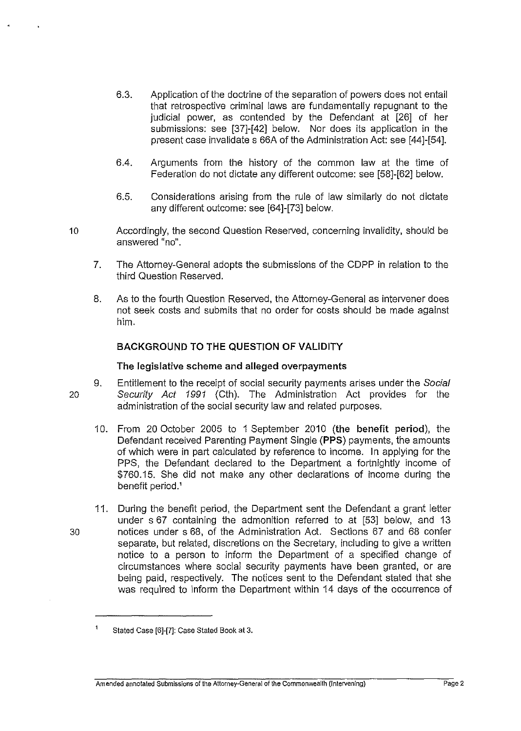- 6.3. Application of the doctrine of the separation of powers does not entail that retrospective criminal laws are fundamentally repugnant to the judicial power, as contended by the Defendant at [26] of her submissions: see [37]-[42] below. Nor does its application in the present case invalidate s 66A of the Administration Act: see [44]-[54].
- 6.4. Arguments from the history of the common law at the time of Federation do not dictate any different outcome: see [58]-[62] below.
- 6.5. Considerations arising from the rule of law similarly do not dictate any different outcome: see [64]-[73] below.
- 10 Accordingly, the second Question Reserved, concerning invalidity, should be answered "no".
	- 7. The Attorney-General adopts the submissions of the CDPP in relation to the third Question Reserved.
	- 8. As to the fourth Question Reserved, the Attorney-General as intervener does not seek costs and submits that no order for costs should be made against him.

# **BACKGROUND TO THE QUESTION OF VALIDITY**

# **The legislative scheme and alleged overpayments**

- 9. Entitlement to the receipt of social security payments arises under the Social 20 Security Act 1991 (Cth). The Administration Act provides for the administration of the social security law and related purposes.
	- 10. From 20 October 2005 to 1 September 2010 **(the benefit period),** the Defendant received Parenting Payment Single **(PPS)** payments, the amounts of which were in part calculated by reference to income. In applying for the PPS, the Defendant declared to the Department a fortnightly income of \$760.15. She did not make any other declarations of income during the benefit period.'
- 11. During the benefit period, the Department sent the Defendant a grant letter under s 67 containing the admonition referred to at [53] below, and 13 30 notices under s 68, of the Administration Act. Sections 67 and 68 confer separate, but related, discretions on the Secretary, including to give a written notice to a person to inform the Department of a specified change of circumstances where social security payments have been granted, or are being paid, respectively. The notices sent to the Defendant stated that she was required to inform the Department within 14 days of the occurrence of

 $\mathbf{1}$ Stated Case [6]-[7]: Case Stated Book at 3.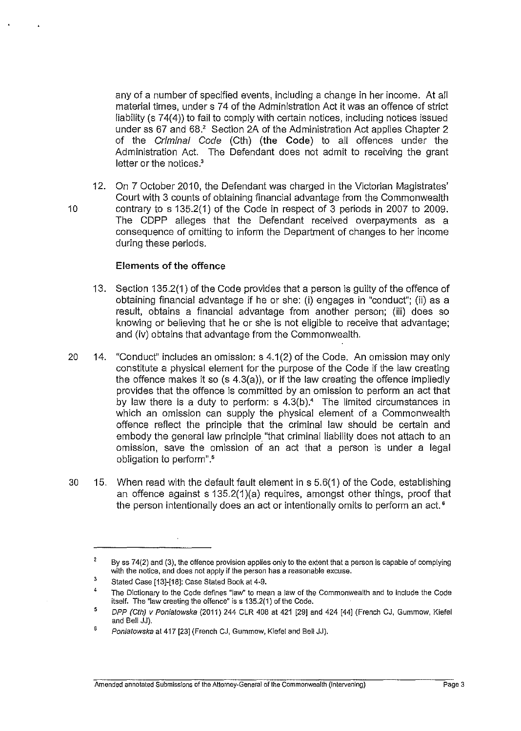any of a number of specified events, including a change in her income. At all material times, under s 74 of the Administration Act it was an offence of strict liability (s 74(4)) to fail to comply with certain notices, including notices issued under ss 67 and 68.' Section 2A of the Administration Act applies Chapter 2 of the Criminal Code (Cth) **(the Code)** to all offences under the Administration Act. The Defendant does not admit to receiving the grant letter or the notices.<sup>3</sup>

12. On 7 October 2010, the Defendant was charged in the Victorian Magistrates' Court with 3 counts of obtaining financial advantage from the Commonwealth 10 contrary to s 135.2(1) of the Code in respect of 3 periods in 2007 to 2009. The CDPP alleges that the Defendant received overpayments as a consequence of omitting to inform the Department of changes to her income during these periods.

## **Elements of the offence**

- 13. Section 135.2(1) of the Code provides that a person is guilty of the offence of obtaining financial advantage if he or she: (i) engages in "conduct"; (ii) as a result, obtains a financial advantage from another person; (iii) does so knowing or believing that he or she is not eligible to receive that advantage; and (iv) obtains that advantage from the Commonwealth.
- 20 14. "Conduct" includes an omission: s 4.1 (2) of the Code. An omission may only constitute a physical element for the purpose of the Code if the law creating the offence makes it so (s 4.3(a)), or if the law creating the offence impliedly provides that the offence is committed by an omission to perform an act that by law there is a duty to perform:  $s$  4.3(b).<sup>4</sup> The limited circumstances in which an omission can supply the physical element of a Commonwealth offence reflect the principle that the criminal law should be certain and embody the general law principle "that criminal liability does not attach to an omission, save the omission of an act that a person is under a legal obligation to perform" . 5
- 30 15. When read with the default fault element in s 5.6(1) of the Code, establishing an offence against s 135.2(1 )(a) requires, amongst other things, proof that the person intentionally does an act or intentionally omits to perform an act.<sup>6</sup>

 $\overline{2}$ By ss 74(2) and (3), the offence provision applies only to the extent that a person is capable of complying with the notice, and does not apply if the person has a reasonable excuse.

<sup>3</sup>  Stated Case [13]-[18]: case Stated Book at 4-9.

<sup>4</sup>  The Dictionary to the Code defines "law'' to mean a Jaw of the Commonwealth and to include the Code itself. The "law creating the offence" is s 135.2(1) of the Code.

<sup>5</sup>  DPP (Cth) v Poniatowska (2011) 244 CLR 40B at 421 [29] and 424 [44] (French CJ, Gummow, Kiefel and Bell JJ).

<sup>6</sup> Poniatowska at 417 [23] (French CJ, Gummow, Kiefel and Bell JJ).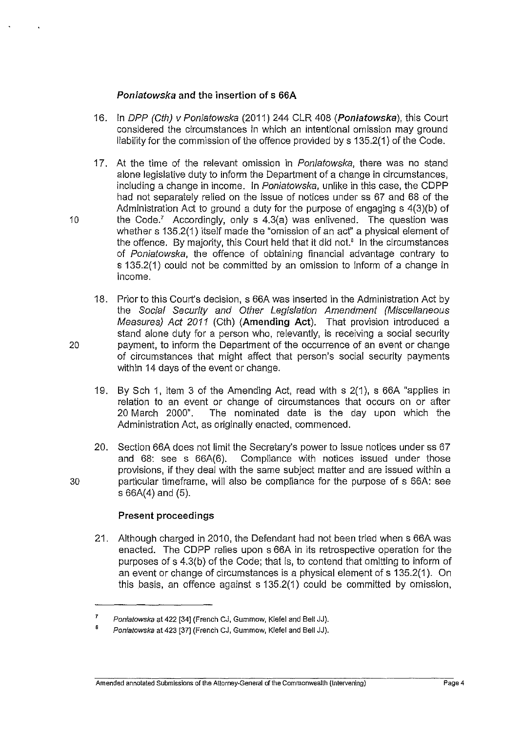# **Poniatowska and the insertion of s 66A**

- 16. In DPP (Cth) v Poniatowska (2011) 244 CLR 408 **(Poniatowska),** this Court considered the circumstances in which an intentional omission may ground liability for the commission of the offence provided by s 135.2(1) of the Code.
- 17. At the time of the relevant omission in *Poniatowska*, there was no stand alone legislative duty to inform the Department of a change in circumstances, including a change in income. In Poniatowska, unlike in this case, the CDPP had not separately relied on the issue of notices under ss 67 and 68 of the Administration Act to ground a duty for the purpose of engaging s 4(3)(b) of 10 the Code.' Accordingly, only s 4.3(a) was enlivened. The question was whether s 135.2(1) itself made the "omission of an acf' a physical element of the offence. By majority, this Court held that it did not.<sup>8</sup> In the circumstances of Poniatowska, the offence of obtaining financial advantage contrary to s 135.2(1) could not be committed by an omission to inform of a change in income.
- 18. Prior to this Court's decision, s 66A was inserted in the Administration Act by the Social Security and Other Legislation Amendment (Miscellaneous Measures) Act 2011 (Cth) **(Amending Act).** That provision introduced a stand alone duty for a person who, relevantly, is receiving a social security 20 payment, to inform the Department of the occurrence of an event or change of circumstances that might affect that person's social security payments within 14 days of the event or change.
	- 19. By Sch 1, item 3 of the Amending Act, read with s 2(1 ), s 66A "applies in relation to an event or change of circumstances that occurs on or after 20 March 2000". The nominated date is the day upon which the Administration Act, as originally enacted, commenced.
- 20. Section 66A does not limit the Secretary's power to issue notices under ss 67 and 68: see s 66A(6). Compliance with notices issued under those provisions, if they deal with the same subject matter and are issued within a 30 particular timeframe, will also be compliance for the purpose of s 66A: see s 66A(4) and (5).

# **Present proceedings**

21. Although charged in 2010, the Defendant had not been tried when s 66A was enacted. The CDPP relies upon s 66A in its retrospective operation for the purposes of s 4.3(b) of the Code; that is, to contend that omitting to inform of an event or change of circumstances is a physical element of s 135.2(1 ). On this basis, an offence against s 135.2(1) could be committed by omission,

<sup>7</sup>  Poniatowska at 422 [34] (French CJ, Gummow, Kiefel and Bell JJ).

<sup>8</sup>  Poniatowska at 423 [37] (French CJ, Gummow, Kiefel and Bell JJ).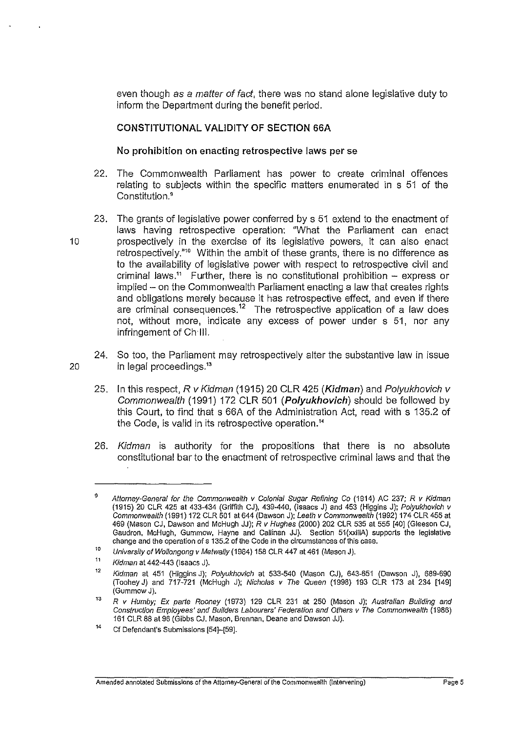even though as a matter of fact, there was no stand alone legislative duty to inform the Department during the benefit period.

## **CONSTITUTIONAL VALIDITY OF SECTION 66A**

## **No prohibition on enacting retrospective laws per** se

- 22. The Commonwealth Parliament has power to create criminal offences relating to subjects within the specific matters enumerated in s 51 of the Constitution.<sup>9</sup>
- 23. The grants of legislative power conferred by s 51 extend to the enactment of laws having retrospective operation: "What the Parliament can enact 10 **prospectively in the exercise of its legislative powers, it can also enact** retrospectively."" Within the ambit of these grants, there is no difference as to the availability of legislative power with respect to retrospective civil and criminal laws.<sup>11</sup> Further, there is no constitutional prohibition  $-$  express or implied - on the Commonwealth Parliament enacting a law that creates rights and obligations merely because it has retrospective effect, and even if there are criminal consequences.<sup>12</sup> The retrospective application of a law does not, without more, indicate any excess of power under s 51, nor any infringement of Ch Ill.
- 24. So too, the Parliament may retrospectively alter the substantive law in issue 20 in legal proceedings.<sup>13</sup>
	- 25. In this respect, R v Kidman (1915) 20 CLR 425 **(Kidman)** and Po/yukhovich v Commonwealth (1991) 172 CLR 501 **(Polyukhovich)** should be followed by this Court, to find that s 66A of the Administration Act, read with s 135.2 of the Code, is valid in its retrospective operation."
	- 26. Kidman is authority for the propositions that there is no absolute constitutional bar to the enactment of retrospective criminal laws and that the

<sup>9</sup>  Attorney-General for the Commonwealth v Colonial Sugar Refining Co (1914) AC 237; R v Kidman (1915) 20 CLR 425 at 433-434 (Griffith CJ), 439-440, (Isaacs J) and 453 (Higgins J); Polyukhovich v Commonwealth (1991) 172 CLR 501 at 644 (Dawson J); Leeth v Commonwealth (1992) 174 CLR 455 at 469 (Mason CJ, Dawson and McHugh JJ); R v Hughes (2000) 202 CLR 535 at 555 [40] (Gleeson CJ, Gaudron, McHugh, Gummow, Hayne and Callinan JJ). Section 51(xxiiiA) supports the legislative **change and the operation of s 135.2 of the Code in the circumstances of this case.** 

<sup>10</sup>  University of Wollongong v Metwally (1984) 158 CLR 447 at 461 (Mason J).

<sup>11</sup>  Kidman at 442-443 (Isaacs J).

<sup>12</sup>  Kidman at 451 (Higgins J); Polyukhovich at 533-540 (Mason CJ), 643-651 (Dawson J), 689-690 (Toohey J) and 717-721 (McHugh J); Nicholas v The Queen (1998) 193 CLR 173 at 234 [149] (GummowJ).

<sup>13</sup>  R v Humby; Ex parte Rooney (1973) 129 CLR 231 at 250 (Mason J); Australian Building and Construction Employees' and Builders Labourers' Federation and Others v The Commonwealth (1986) 161 CLR 88 at96 (Gibbs CJ, Mason, Brennan, Deane and Dawson JJ).

<sup>14</sup>  Cf Defendant's Submissions (54]-[59].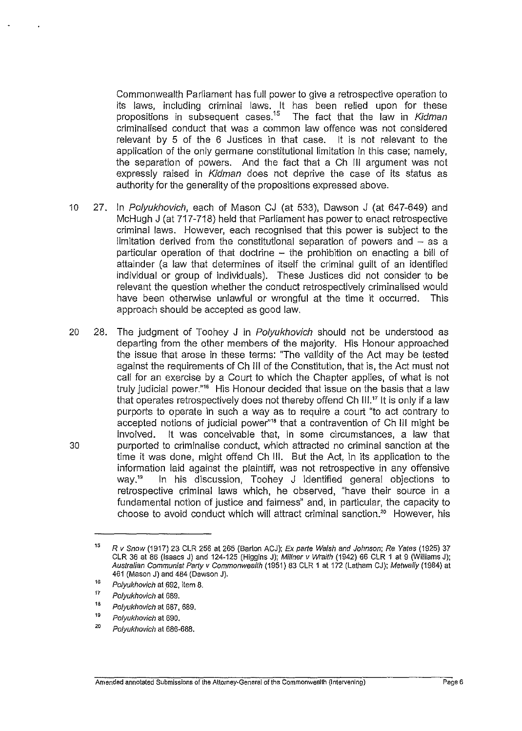Commonwealth Parliament has full power to give a retrospective operation to its laws, including criminal laws. It has been relied upon for these propositions in subsequent cases.<sup>15</sup> The fact that the law in Kidman criminalised conduct that was a common law offence was not considered relevant by 5 of the 6 Justices in that case. It is not relevant to the application of the only germane constitutional limitation in this case; namely, the separation of powers. And the fact that a Ch Ill argument was not expressly raised in Kidman does not deprive the case of its status as authority for the generality of the propositions expressed above.

- 10 27. In Polyukhovich, each of Mason CJ (at 533), Dawson J (at 647-649) and McHugh J (at 717-718) held that Parliament has power to enact retrospective criminal laws. However, each recognised that this power is subject to the limitation derived from the constitutional separation of powers and  $-$  as a particular operation of that doctrine - the prohibition on enacting a bill of attainder (a law that determines of itself the criminal guilt of an identified individual or group of individuals). These Justices did not consider to be relevant the question whether the conduct retrospectively criminalised would have been otherwise unlawful or wrongful at the time it occurred. This approach should be accepted as good law.
- 20 28. The judgment of Toohey J in Polyukhovich should not be understood as departing from the other members of the majority. His Honour approached the issue that arose in these terms: "The validity of the Act may be tested against the requirements of Ch Ill of the Constitution, that is, the Act must not call for an exercise by a Court to which the Chapter applies, of what is not truly judicial power."<sup>16</sup> His Honour decided that issue on the basis that a law that operates retrospectively does not thereby offend Ch  $III$ .<sup>17</sup> It is only if a law purports to operate in such a way as to require a court "to act contrary to accepted notions of judicial power"<sup>18</sup> that a contravention of Ch<sub>III</sub> might be involved. It was conceivable that, in some circumstances, a law that 30 purported to criminalise conduct, which attracted no criminal sanction at the time it was done, might offend Ch Ill. But the Act, in its application to the information laid against the plaintiff, was not retrospective in any offensive way." In his discussion, Toohey J identified general objections to retrospective criminal laws which, he observed, "have their source in a fundamental notion of justice and fairness" and, in particular, the capacity to choose to avoid conduct which will attract criminal sanction.20 However, his

<sup>15</sup>  R v Snow (1917) 23 CLR 256 at 265 (Barton ACJ); Ex patte Walsh and Johnson; Re Yates (1925) 37 CLR 36 at 86 (Isaacs J) and 124-125 (Higgins J); Millner v Wraith (1942) 66 CLR 1 at 9 (Williams J); Australian Communist Party v Commonwealth (1951) 83 CLR 1 at 172 (Latham CJ); Metwally (1984) at 461 (Mason J) and 484 (Dawson J).

<sup>16</sup>  Polyukhovich at 692. item 8.

<sup>17</sup>  Polyukhovich at 689.

<sup>18</sup>  Polyukhovich at 687. 689.

<sup>19</sup>  Polyukhovich at 690.

<sup>20</sup>  Polyukhovich at 686-688.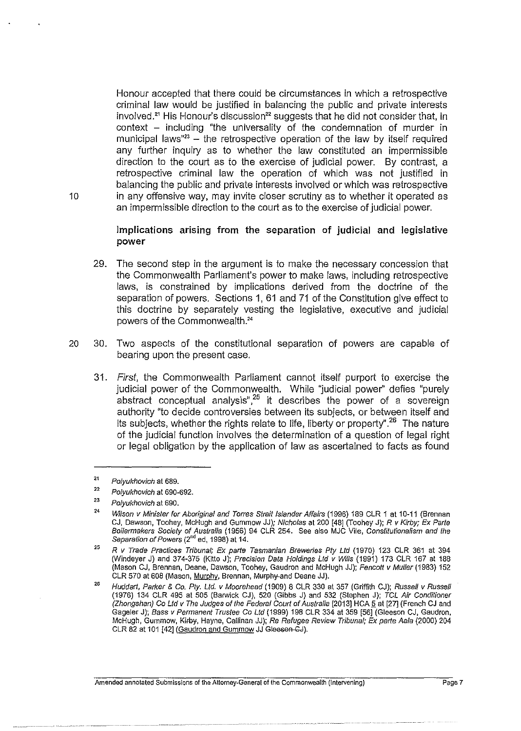Honour accepted that there could be circumstances in which a retrospective criminal law would be justified in balancing the public and private interests involved.<sup>21</sup> His Honour's discussion<sup>22</sup> suggests that he did not consider that, in  $context - including$  "the universality of the condemnation of murder in municipal laws" $3 -$  the retrospective operation of the law by itself required any further inquiry as to whether the law constituted an impermissible direction to the court as to the exercise of judicial power. By contrast, a retrospective criminal law the operation of which was not justified in balancing the public and private interests involved or which was retrospective 10 in any offensive way, may invite closer scrutiny as to whether it operated as an impermissible direction to the court as to the exercise of judicial power.

> Implications arising from the separation of judicial and legislative power

- 29. The second step in the argument is to make the necessary concession that the Commonwealth Parliament's power to make laws, including retrospective laws, is constrained by implications derived from the doctrine of the separation of powers. Sections 1, 61 and 71 of the Constitution give effect to this doctrine by separately vesting the legislative, executive and judicial powers of the Commonwealth.<sup>24</sup>
- 20 30. Two aspects of the constitutional separation of powers are capable of bearing upon the present case.
	- 31. First, the Commonwealth Parliament cannot itself purport to exercise the judicial power of the Commonwealth. While "judicial power'' defies "purely abstract conceptual analysis",<sup>25</sup> it describes the power of a sovereign authority "to decide controversies between its subjects, or between itself and its subjects, whether the rights relate to life, liberty or property".<sup>26</sup> The nature of the judicial function involves the determination of a question of legal right or legal obligation by the application of law as ascertained to facts as found

<sup>21</sup>  Polyukhovich at 689.

<sup>22</sup>  Polyukhovich at 690-692.

<sup>23</sup>  Polyukhovich at 690.

<sup>24</sup>  Wilson v Minister for Aboriginal and Torres Strait Islander Affairs (1996) 189 CLR 1 at 10-11 (Brennan CJ, Dawson, Toohey, McHugh and Gummow JJ); Nicholas at 200 [48] (Toohey J); R v Kirby; Ex Parte Boilermakers Society of Australia (1956) 94 CLR 254. See also MJC Vile, Constitutionalism and the Separation of Powers (2<sup>nd</sup> ed, 1998) at 14.

<sup>25</sup>  R v Trade Practices Tribunal; Ex parte Tasmanian Breweries Ply Ltd (1970) 123 CLR 361 at 394 (Windeyer J) and 374-375 (Kitto J); Precision Data Holdings Ltd v Wills (1991) 173 CLR 167 at 188 (Mason CJ, Brennan, Deane, Dawson. Toohey, Gaudron and McHugh JJ); Fencott v Muller (1983) 152 CLR 570 at 608 (Mason, Murphy, Brennan, Murphy-and Deane JJ).

<sup>26</sup>  Huddart, Parker & Co. Ply. Ltd. v Moorehead (1909) 8 CLR 330 at 357 (Griffith CJ); Russel/ v RusseJI (1976) 134 CLR 495 at 505 (Barwick CJ), 520 (Gibbs J) and 532 (Stephen J); TCL Air Conditioner (Zhongshan) Co Ltd v The Judges of the Federal Court of Australia [2013] HCA 5 at [27] (French CJ and Gageler J); Bass v Permanent Trustee Co Ltd (1999) 198 CLR 334 at 359 [56] (Gleeson CJ, Gaudron, McHugh, Gummow, Kifby, Hayne, Callinan JJ); Re Refugee Review Tribunal; Ex parte Aala (2000) 204 CLR 82 at 101 [42] (Gaudron and Gummow JJ Gleesen GJ).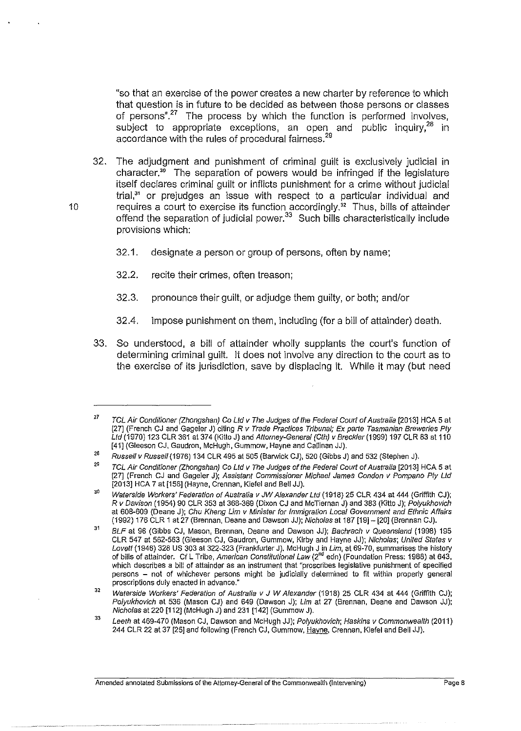"so that an exercise of the power creates a new charter by reference to which that question is in future to be decided as between those persons or classes of persons".<sup>27</sup> The process by which the function is performed involves, subject to appropriate exceptions, an open and public inquiry,<sup>28</sup> in accordance with the rules of procedural fairness.<sup>29</sup>

32. The adjudgment and punishment of criminal guilt is exclusively judicial in character." The separation of powers would be infringed if the legislature itself declares criminal guilt or inflicts punishment for a crime without judicial trial, $31$  or prejudges an issue with respect to a particular individual and 10 requires a court to exercise its function accordingly." Thus, bills of attainder offend the separation of judicial power.33 Such bills characteristically include provisions which:

- 32.1. designate a person or group of persons, often by name;
- 32.2. recite their crimes, often treason;
- 32.3. pronounce their guilt, or adjudge them guilty, or both; and/or
- 32.4. impose punishment on them, including (for a bill of attainder) death.
- 33. So understood, a bill of attainder wholly supplants the court's function of determining criminal guilt. It does not involve any direction to the court as to the exercise of its jurisdiction, save by displacing it. While it may (but need

<sup>27</sup>  TCL Air Conditioner (Zhongshan) Co Ltd v The Judges of the Federal Court of Australia (2013] HCA 5 at [27] (French CJ and Gageler J) citing R v Trade Practices Tribunal; Ex parte Tasmanian Breweries Pty Ltd (1970) 123 CLR 361 at 374 (Kitto J) and Attorney-General (Cth) v Breckler (1999) 197 CLR 83 at 110 [41] (Gleeson CJ. Gaudron, McHugh, Gummow, Hayne and Callinan JJ).

<sup>28</sup> Russell v Russell (1976) 134 CLR 495 at 505 (Barwick CJ), 520 (Gibbs J) and 532 (Stephen J).

<sup>29</sup>  TCL Air Conditioner (Zhongshan) Co Ltd v The Judges of the Federal Court of Australia [2013] HCA 5 at [27] (French CJ and Gageler J); Assistant Commissioner Michael James Condon v Pompano Ply Ltd (2013] HCA 7 at [156] (Hayne, Grennan, Kiefel and Bell JJ).

<sup>30</sup> Waterside Workers' Federation of Australia v JW Alexander Ltd (1918) 25 CLR 434 at 444 (Griffith CJ); R v Davison (1954) 90 CLR 353 at 368-369 (Dixon *CJ* and McTiernan J) and 383 (Kitto J); Polyukhovich at 608-609 (Deane J); Chu Kheng Lim v Minister for Immigration Local Government and Ethnic Affairs (1992) 176 CLR 1 at 27 (Brennan, Deane and Dawson JJ); Nicholas at 187 [19]- [20] (Brennan CJ).

<sup>31</sup>  BLF at 96 (Gibbs CJ, Mason, Brennan, Deane and Dawson JJ); Bachrach v Queensland (1998) 195 CLR 547 at 562-563 (Gleeson CJ, Gaudron, Gummow, Kirby and Hayne JJ); Nicholas; United States v Lovett (1946) 328 US 303 at 322-323 (Frankfurter J). McHugh J in Lim, at 69-70, summarises the history of bills of attainder. Cf L Tribe, American Constitutional Law (2<sup>nd</sup> edn) (Foundation Press: 1988) at 643, which describes a bill of attainder as an instrument that "proscribes legislative punishment of specified persons - not of whichever persons might be judicially determined to fit within properly general **proscriptions duly enacted in advance."** 

<sup>32</sup>  Waterside Workers' Federation of Australia v J W Alexander (1918) 25 CLR 434 at 444 (Griffith CJ); Polyukhovich at 536 (Mason CJ) and 649 (Dawson J); Lim at 27 (Brennan, Deane and Dawson JJ); Nicholas at 220 (112] (McHugh J) and 231 [142] (Gummow J).

<sup>33</sup> Leeth at 469·470 (Mason CJ, Dawson and McHugh JJ); Palyukhovich; Haskins v Commonwealth (2011) 244 CLR 22 at 37 [25] and fallowing (French CJ, Gummow, Hayne, Grennan, Klefel and Bell JJ).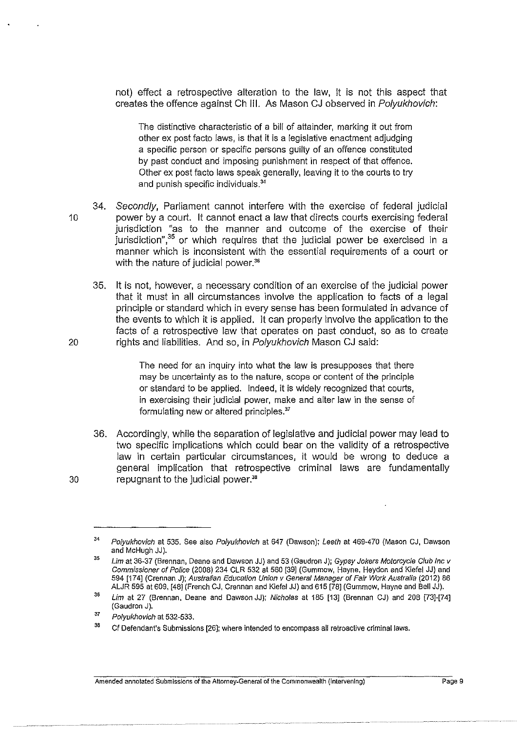not) effect a retrospective alteration to the law, it is not this aspect that creates the offence against Ch Ill. As Mason CJ observed in Po/yukhovich:

The distinctive characteristic of a bill of attainder, marking it out from other ex post facto Jaws, is that it is a legislative enactment adjudging a specific person or specific persons guilty of an offence constituted by past conduct and imposing punishment in respect of that offence. Other ex post facto laws speak generally, leaving it to the courts to try and punish specific individuals.<sup>34</sup>

- 34. Secondly, Parliament cannot interfere with the exercise of federal judicial 10 power by a court. It cannot enact a law that directs courts exercising federal jurisdiction "as to the manner and outcome of the exercise of their jurisdiction",<sup>35</sup> or which requires that the judicial power be exercised in a manner which is inconsistent with the essential requirements of a court or with the nature of judicial power.<sup>36</sup>
- 35. It is not, however, a necessary condition of an exercise of the judicial power that it must in all circumstances involve the application to facts of a legal principle or standard which in every sense has been formulated in advance of the events to which it is applied. It can properly involve the application to the facts of a retrospective law that operates on past conduct, so as to create 20 rights and liabilities. And so, in Polyukhovich Mason CJ said:

The need for an inquiry into what the law is presupposes that there may be uncertainty as to the nature, scope or content of the principle or standard to be applied. Indeed, it is widely recognized that courts, in exercising their judicial power, make and alter law in the sense of formulating new or altered principles."

36. Accordingly, while the separation of legislative and judicial power may lead to two specific implications which could bear on the validity of a retrospective law in certain particular circumstances, it would be wrong to deduce a general implication that retrospective criminal laws are fundamentally 30 repugnant to the judicial power."

<sup>34</sup>  Polyukhovich at 535. See also Polyukhovich at 647 (Dawson); Leeth at 469-470 (Mason CJ, Dawson and McHugh JJ).

<sup>35</sup>  Lim at 36-37 (Brennan, Deane and Dawson JJ) and 53 (Gaudron J); Gypsy Jokers Motorcycle Club Inc v Commissioner of Police (2008) 234 CLR 532 at 560 [39] (Gummow, Hayne, Heydon and Kiefel JJ) and 594 [174] (Grennan J); Australian Education Union v General Manager of Fair Work Australia (2012) 86 ALJR 595 at 609, [48] (French CJ, Grennan and Kiefel JJ) and 615 [78] (Gummow, Hayne and Bell JJ).

<sup>36</sup>  Lim at 27 (Brennan, Deane and Dawson JJ); Nicholas at 185 [13] (Brennan CJ) and 208 [73]-[74] (Gaudron J).

<sup>37</sup>  Polyukhovich at 532-533.

<sup>38</sup>  Cf Defendant's Submissions [26]; where intended to encompass all retroactive criminal laws.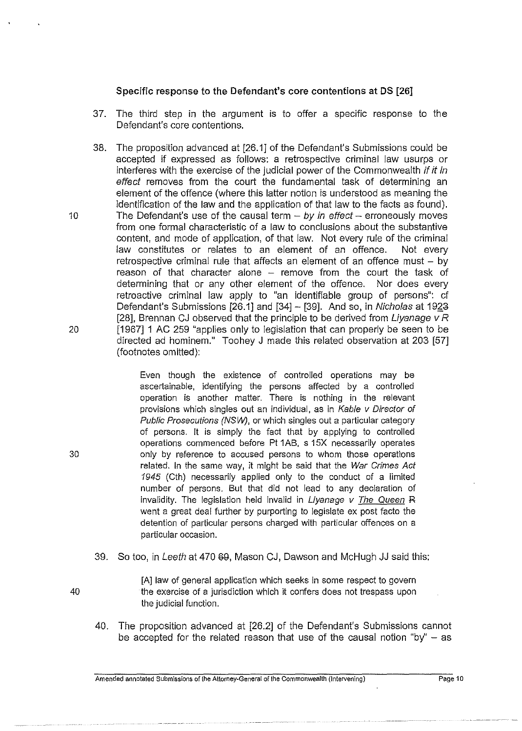## Specific response to the Defendant's core contentions at DS [26]

- 37. The third step in the argument is to offer a specific response to the Defendant's core contentions.
- 38. The proposition advanced at [26.1] of the Defendant's Submissions could be accepted if expressed as follows: a retrospective criminal law usurps or interferes with the exercise of the judicial power of the Commonwealth if it in effect removes from the court the fundamental task of determining an element of the offence (where this latter notion is understood as meaning the identification of the law and the application of that law to the facts as found). 10 The Defendant's use of the causal term  $- by in effect - erroneously moves$ from one formal characteristic of a law to conclusions about the substantive content, and mode of application, of that law. Not every rule of the criminal law constitutes or relates to an element of an offence. Not every retrospective criminal rule that affects an element of an offence must  $-$  by reason of that character alone – remove from the court the task of determining that or any other element of the offence. Nor does every retroactive criminal law apply to "an identifiable group of persons": cf Defendant's Submissions  $[26.1]$  and  $[34]$  -  $[39]$ . And so, in Nicholas at 1923 [28], Brennan CJ observed that the principle to be derived from Livanage  $vR$ 20 [1967] 1 AC 259 "applies only to legislation that can properly be seen to be directed ad hominem." Toohey J made this related observation at 203 [57] (footnotes omitted):

Even though the existence of controlled operations may be ascertainable, identifying the persons affected by a controlled operation is another matter. There is nothing in the relevant provisions which singles out an individual, as in Kable v Director of Public Prosecutions (NSW), or which singles out a particular category of persons. It is simply the fact that by applying to controlled operations commenced before Pt 1AB, s 15X necessarily operates only by reference to accused persons *to* whom those operations related. In the same way, it might be said that the War Crimes Act 1945 (Cth) necessarily applied only *to* the conduct of a limited number of persons. But that did not lead *to* any declaration of invalidity. The legislation held invalid in Liyanage v The Queen R went a great deal further by purporting to legislate ex post facto the detention of particular persons charged with particular offences on a particular occasion.

39. So too, in Leeth at 470 69, Mason CJ, Dawson and McHugh JJ said this:

[A] law of general application which seeks in some respect to govern the exercise of a jurisdiction which it confers does not trespass upon the judicial function.

40. The proposition advanced at [26.2] of the Defendant's Submissions cannot be accepted for the related reason that use of the causal notion "by"  $-$  as

**Amended annotated Submissions of the** Attorney~General **of the Commonwealth (Intervening) Page 10** 

30

40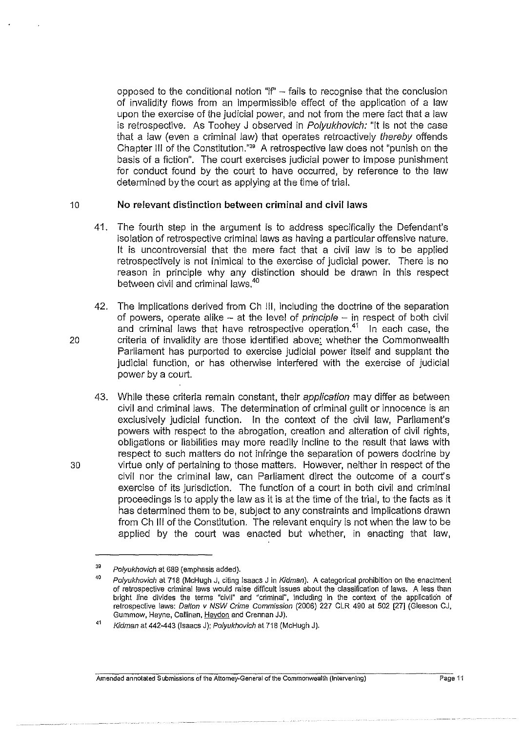opposed to the conditional notion " $i f'' - f$ ails to recognise that the conclusion of invalidity flows from an impermissible effect of the application of a law upon the exercise of the judicial power, and not from the mere fact that a Jaw is retrospective. As Toohey J observed in Polyukhovich: "It is not the case that a law (even a criminal law) that operates retroactively thereby offends Chapter Ill of the Constitution."" A retrospective law does not "punish on the basis of a fiction". The court exercises judicial power to impose punishment for conduct found by the court to have occurred, by reference to the law determined by the court as applying at the time of trial.

## 10 **No relevant distinction between criminal and civil laws**

- 41. The fourth step in the argument is to address specifically the Defendant's isolation of retrospective criminal laws as having a particular offensive nature. It is uncontroversial that the mere fact that a civil law is to be applied retrospectively is not inimical to the exercise of judicial power. There is no reason in principle why any distinction should be drawn in this respect between civil and criminal laws.<sup>40</sup>
- 42. The implications derived from Ch !II, including the doctrine of the separation of powers, operate alike  $-$  at the level of principle  $-$  in respect of both civil and criminal laws that have retrospective operation. $41$  In each case, the 20 criteria of invalidity are those identified above; whether the Commonwealth Parliament has purported to exercise judicial power itself and supplant the judicial function, or has otherwise interfered with the exercise of judicial power by a court.
- 43. While these criteria remain constant, their *application* may differ as between civil and criminal laws. The determination of criminal guilt or innocence is an exclusively judicial function. In the context of the civil law, Parliament's powers with respect to the abrogation, creation and alteration of civil rights, obligations or liabilities may more readily incline to the result that laws with respect to such matters do not infringe the separation of powers doctrine by 30 virtue only of pertaining to those matters. However, neither in respect of the civil nor the criminal law, can Parliament direct the outcome of a court's exercise of its jurisdiction. The function of a court in both civil and criminal proceedings is to apply the law as it is at the time of the trial, to the facts as it has determined them to be, subject to any constraints and implications drawn from Ch Ill of the Constitution. The relevant enquiry is not when the law to be applied by the court was enacted but whether, in enacting that law,

<sup>39</sup> Polyukhovich at 689 (emphasis added).

<sup>40</sup>  Polyukhovich at 718 (McHugh J, citing Isaacs J in Kidman). A categorical prohibition on the enactment of retrospective criminal laws would raise difficult issues about the classification of laws. A less than bright line divides the terms ''civil" and "criminal'', including in the context of the application of retrospective laws: Dalton v NSW Crime Commission (2006) 227 CLR 490 at 502 [27] (Gleeson CJ, Gummow, Hayne, Callinan, Heydon and Grennan JJ).

<sup>41</sup> Kidman at 442-443 (Isaacs J); Po/yukhovich at 718 (McHugh J).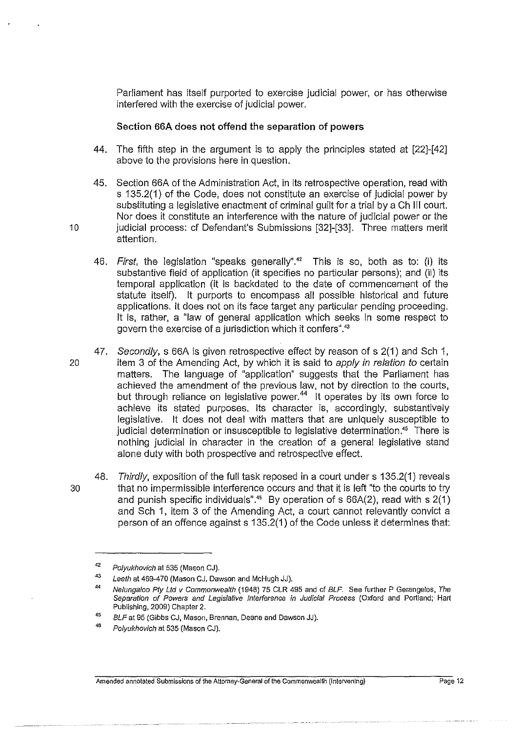Parliament has itself purported to exercise judicial power, or has otherwise interfered with the exercise of judicial power.

#### Section 66A does not offend the separation of powers

- 44. The fifth step in the argument is to apply the principles stated at [22]-[42] above to the provisions here in question.
- 45. Section 66A of the Administration Act, in its retrospective operation, read with s 135.2(1) of the Code, does not constitute an exercise of judicial power by substituting a legislative enactment of criminal guilt for a trial by a Ch Ill court. Nor does it constitute an interference with the nature of judicial power or the 10 judicial process: cf Defendant's Submissions [32]-[33]. Three matters merit attention.
	- 46. First, the legislation "speaks generally".<sup>42</sup> This is so, both as to: (i) its substantive field of application (it specifies no particular persons); and (ii) its temporal application (it is backdated to the date of commencement of the statute itself). It purports to encompass all possible historical and future applications. It does not on its face target any particular pending proceeding. It is, rather, a "law of general application which seeks in some respect to govern the exercise of a jurisdiction which it confers".<sup>43</sup>
- 47. Secondly, s 66A is given retrospective effect by reason of s 2(1) and Sch 1, 20 item 3 of the Amending Act, by which it is said to apply in relation to certain matters. The language of "application" suggests that the Parliament has achieved the amendment of the previous law, not by direction to the courts, but through reliance on legislative power.<sup>44</sup> It operates by its own force to achieve its stated purposes. Its character is, accordingly, substantively legislative. It does not deal with matters that are uniquely susceptible to judicial determination or insusceptible to legislative determination.<sup>45</sup> There is nothing judicial in character in the creation of a general legislative stand alone duty with both prospective and retrospective effect.
- 48. Thirdly, exposition of the full task reposed in a court under s 135.2(1) reveals 30 that no impermissible interference occurs and that it is left "to the courts to try and punish specific individuals".<sup>46</sup> By operation of s  $66A(2)$ , read with s  $2(1)$ and Sch 1, item 3 of the Amending Act, a court cannot relevantly convict a person of an offence against s 135.2(1) of the Code unless it determines that:

<sup>42</sup>  Polyukhovich at 535 (Mason CJ).

<sup>43</sup>  Leeth at 469-470 (Mason CJ, Dawson and McHugh JJ).

<sup>44</sup> Nelungaloo Ply Ltd v Commonwealth (1948) 75 CLR 495 and cf BLF. See further P Gerangelos, The Separation of Powers and Legislative Interference in Judicial Process (Oxford and Portland;· Hart Publishing, 2009) Chapter 2.

<sup>45</sup>  BLF at 95 (Gibbs CJ, Mason, Brennan, Deane and Dawson JJ).

<sup>46</sup>  Polyukhovich at 535 (Mason CJ).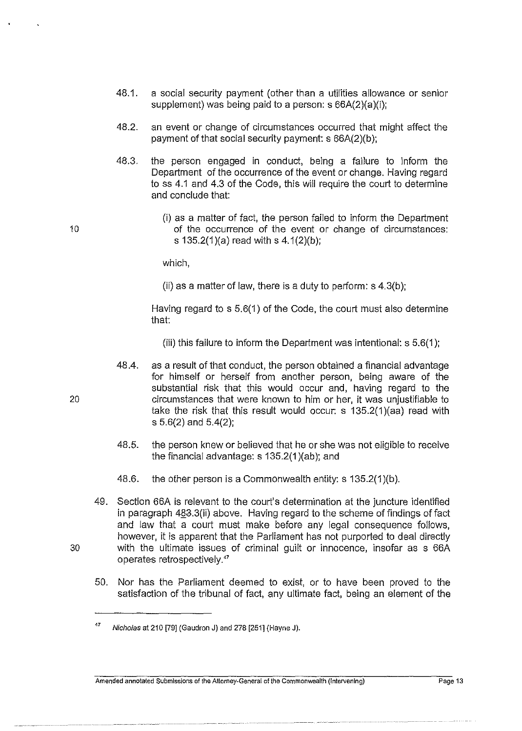- 48.1. a social security payment (other than a utilities allowance or senior supplement) was being paid to a person: s 66A(2)(a)(i);
- 48.2. an event or change of circumstances occurred that might affect the payment of that social security payment: s 66A(2)(b );
- 48.3. the person engaged in conduct, being a failure to inform the Department of the occurrence of the event or change. Having regard to ss 4.1 and 4.3 of the Code, this will require the court to determine and conclude that:
- (i) as a matter of fact, the person failed to inform the Department 10 of the occurrence of the event or change of circumstances: s 135.2(1)(a) read with s 4.1(2)(b);

which,

(ii) as a matter of law, there is a duty to perform:  $s$  4.3(b):

Having regard to s 5.6(1) of the Code, the court must also determine that:

(iii) this failure to inform the Department was intentional: s 5.6(1 );

- 48.4. as a result of that conduct, the person obtained a financial advantage for himself or herself from another person, being aware of the substantial risk that this would occur and, having regard to the 20 circumstances that were known to him or her, it was unjustifiable to take the risk that this result would occur: s 135.2(1 )(aa) read with s 5.6(2) and 5.4(2);
	- 48.5. the person knew or believed that he or she was not eligible to receive the financial advantage: s 135.2(1 )(ab); and
	- 48.6. the other person is a Commonwealth entity: s 135.2(1)(b).
- 49. Section 66A is relevant to the court's determination at the juncture identified in paragraph 483.3(ii) above. Having regard to the scheme of findings of fact and law that a court must make before any legal consequence follows, however, it is apparent that the Parliament has not purported to deal directly 30 with the ultimate issues of criminal guilt or innocence, insofar as s 66A operates retrospectively."
	- 50. Nor has the Parliament deemed to exist, or to have been proved to the satisfaction of the tribunal of fact, any ultimate fact, being an element of the

<sup>&</sup>lt;sup>47</sup> Nicholas at 210 [79] (Gaudron J) and 278 [251] (Hayne J).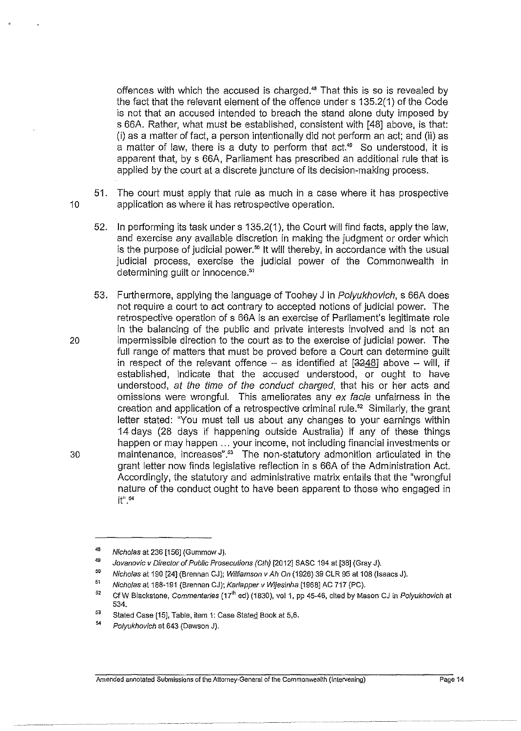offences with which the accused is charged." That this is so is revealed by the fact that the relevant element of the offence under s 135.2(1) of the Code is not that an accused intended to breach the stand alone duty imposed by s 66A. Rather, what must be established, consistent with [48] above, is that: (i) as a matter of fact, a person intentionally did not perform an act; and (ii) as a matter of law, there is a duty to perform that act.<sup>49</sup> So understood, it is apparent that, by s 66A, Parliament has prescribed an additional rule that is applied by the court at a discrete juncture of its decision-making process.

- 51. The court must apply that rule as much in a case where it has prospective 10 application as where it has retrospective operation.
	- 52. In performing its task under s 135.2(1 }, the Court will find facts, apply the law, and exercise any available discretion in making the judgment or order which is the purpose of judicial power.<sup>50</sup> It will thereby, in accordance with the usual judicial process, exercise the judicial power of the Commonwealth in determining quilt or innocence.<sup>51</sup>
- 53. Furthermore, applying the language of Toohey J in Polyukhovich, s 66A does not require a court to act contrary to accepted notions of judicial power. The retrospective operation of s 66A is an exercise of Parliament's legitimate role in the balancing of the public and private interests involved and is not an 20 impermissible direction to the court as to the exercise of judicial power. The full range of matters that must be proved before a Court can determine guilt in respect of the relevant offence  $-$  as identified at  $[3248]$  above  $-$  will, if established, indicate that the accused understood, or ought to have understood, at the time of the conduct charged, that his or her acts and omissions were wrongful. This ameliorates any ex facie unfairness in the creation and application of a retrospective criminal rule." Similarly, the grant letter stated: "You must tell us about any changes to your earnings within 14 days (28 days if happening outside Australia) if any of these things happen or may happen ... your income, not including financial investments or 30 maintenance, increases".<sup>53</sup> The non-statutory admonition articulated in the grant letter now finds legislative reflection in s 66A of the Administration Act. Accordingly, the statutory and administrative matrix entails that the "wrongful nature of the conduct ought to have been apparent to those who engaged in  $it^{m.54}$

<sup>48</sup>  Nicholas at 236 [156] (Gummow J).

<sup>&</sup>quot; 50 Jovanovic v Director of Public Prosecutions (Cth) [2012] SASC 194 at [38] (Gray J).

Nicholas at 190 [24] (Brennan CJ); Williamson v Ah On (1926) 39 CLR 95 at 108 (Isaacs J).

<sup>51</sup>  Nicholas at 188-191 (Brennan CJ); Kariapper v Wljesinha [1968] AC 717 (PC).

<sup>52</sup>  Cf W Blackstone, Co*mmentaries* (17<sup>lh</sup> ed) (1830), vol 1, pp 45-46, cited by Mason CJ in *Polyukhovich* at 534.

<sup>53</sup>  Stated Case [15], Table, item 1: Case Stated Book at 5,6.

<sup>54</sup>  Polyukhovich at 643 (Dawson J).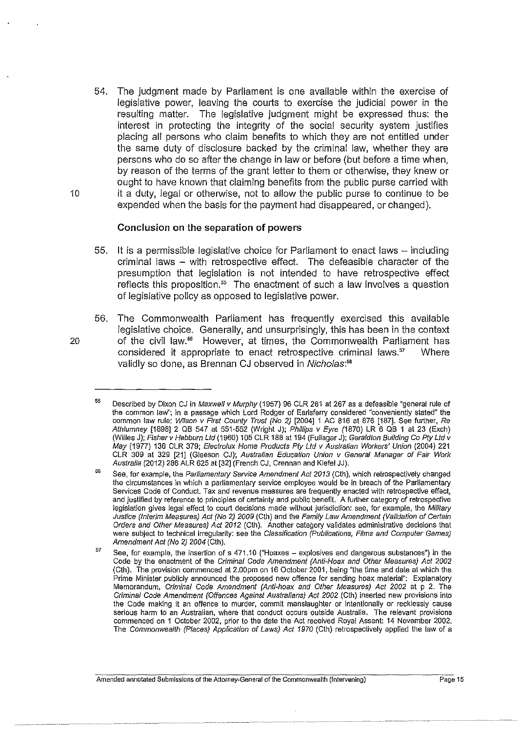54. The judgment made by Parliament is one available within the exercise of legislative power, leaving the courts to exercise the judicial power in the resulting matter. The legislative judgment might be expressed thus: the interest in protecting the integrity of the social security system justifies placing all persons who claim benefits to which they are not entitled under the same duty of disclosure backed by the criminal law, whether they are persons who do so after the change in law or before (but before a time when, by reason of the terms of the grant letter to them or otherwise, they knew or ought to have known that claiming benefits from the public purse carried with 10 it a duty, legal or otherwise, not to allow the public purse to continue to be expended when the basis for the payment had disappeared, or changed).

## **Conclusion on the separation of powers**

- 55. It is a permissible legislative choice for Parliament to enact laws including criminal laws - with retrospective effect. The defeasible character of the presumption that legislation is not intended to have retrospective effect reflects this proposition.<sup>55</sup> The enactment of such a law involves a question of legislative policy as opposed to legislative power.
- 56. The Commonwealth Parliament has frequently exercised this available legislative choice. Generally, and unsurprisingly, this has been in the context 20 of the civil law.<sup>56</sup> However, at times, the Commonwealth Parliament has considered it appropriate to enact retrospective criminal laws." Where validly so done, as Brennan CJ observed in Nicholas:<sup>58</sup>

<sup>55</sup>  Described by Dixon CJ in Maxwell v Murphy (1957) 96 CLR 261 at 267 as a defeasible "general rule of **the common law''; in a passage which Lord Rodger of Earlsferry considered "conveniently stated" the**  common law rule: Wilson v First County Trust (No 2) [2004] 1 AC 816 at 876 [187]. See further, Re Athlumney [1898] 2 QB 547 at 551-552 (Wright J); Phillips v Eyre (1870) LR 6 QB 1 at 23 (Exch) (Willes J); Fisherv Hebburn Ltd (1960) 105 CLR 188 at 194 (Fullager J); Geraldton Building Co Pty Ltd v May (1977) 136 CLR 379; Electrolux Home Products Ply Ltd v Australian Workers' Union (2004) 221 CLR 309 at 329 [21] (Gleeson CJ); Australian Education Union v General Manager of Fair Work Australia (2012) 286 ALR 625 at [32] (French CJ, Grennan and Kiefel JJ).

<sup>56</sup> See, for example, the Parliamentary Service Amendment Act 2013 (Cth), which retrospectively changed **the circumstances in which a parliamentary service employee would be in breach of the Parliamentary Services Code of Conduct. Tax and revenue measures are frequently enacted with retrospective effect,**  and justified by reference to principles of certainty and public benefit. A further category of retrospective **legislation gives legal effect to court decisions made without jurisdiction: see, for example, the Military**  Justice (Interim Measures) Act (No 2) 2009 (Cth) and the Family Law Amendment (Validation of Certain Orders and Other Measures) Act 2012 (Cth). Another category validates administrative decisions that were subject to technical irregularity: see the Classification (Publications, Films and Computer Games) Amendment Act (No 2) 2004 (Cth).

<sup>57</sup>  See, for example, the insertion of s 471.10 ("Hoaxes- explosives and dangerous substances") in the Code by the enactment of the Criminal Code Amendment {Anti-Hoax and Other Measures) Act 2002 (Cth). The provision commenced at 2.00pm on 16 October 2001, being "the time and date at which the **Prime Minister publicly announced the proposed new offence for sending hoax material'': Explanatory**  Memorandum, Criminal Code Amendment {Anti-hoax and Other Measures) Act 2002 at p 2. The Criminal Code Amendment (Offences Against Australians) Act 2002 (Cth) inserted new provisions into the Code making it an offence to murder, commit manslaughter or intentionally or recklessly cause **serious harm to an Australian, where that conduct occurs outside Australia. The relevant provisions**  commenced on 1 October 2002, prior to the date the Act received Royal Assent: 14 November 2002. The Commonwealth (Places) Application of Laws) Act 1970 (Cth) retrospectively applied the law of a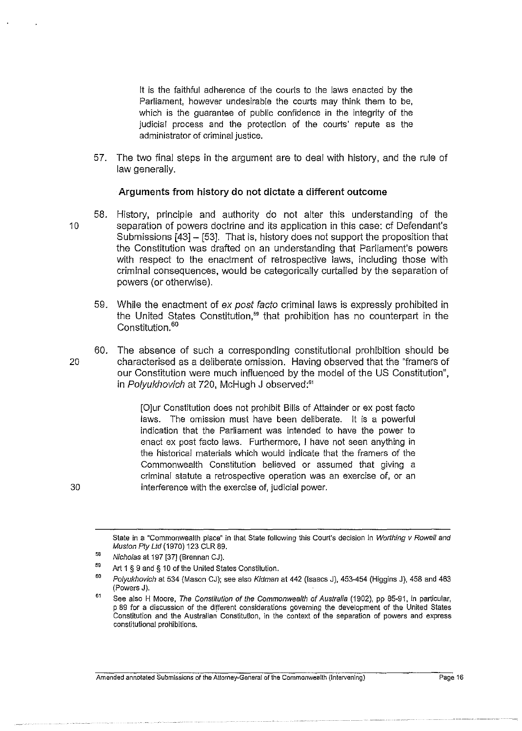It is the faithful adherence of the courts to the laws enacted by the Parliament, however undesirable the courts may think them to be, which is the guarantee of public confidence in the integrity of the judicial process and the protection of the courts' repute as the administrator of criminal justice.

57. The two final steps in the argument are to deal with history, and the rule of law generally.

#### **Arguments from history do not dictate a different outcome**

- 58. History, principle and authority do not alter this understanding of the 10 separation of powers doctrine and its application in this case: cf Defendant's Submissions [43]- [53]. That is, history does not support the proposition that the Constitution was drafted on an understanding that Parliament's powers with respect to the enactment of retrospective laws, including those with criminal consequences, would be categorically curtailed by the separation of powers (or otherwise).
	- 59. While the enactment of ex post facto criminal laws is expressly prohibited in the United States Constitution.<sup>59</sup> that prohibition has no counterpart in the Constitution.<sup>60</sup>
- 60. The absence of such a corresponding constitutional prohibition should be 20 characterised as a deliberate omission. Having observed that the "framers of our Constitution were much influenced by the model of the US Constitution", in Polyukhovich at 720, McHugh J observed:<sup>61</sup>

[O]ur Constitution does not prohibit Bills of Attainder or ex post facto laws. The omission must have been deliberate. It is a powerful indication that the Parliament was intended to have the power to enact ex post facto laws. Furthermore, I have not seen anything in the historical materials which would indicate that the framers of the Commonwealth Constitution believed or assumed that giving a criminal statute a retrospective operation was an exercise of, or an interference with the exercise of, judicial power.

State in a "Commonwealth place" in that State following this Court's decision in Worthing v Rowell and Muston Ply Ltd ( 1970) 123 CLR 89.

<sup>58</sup>  Nicholas at 197 [37] (Brennan CJ).

<sup>59</sup>  Art 1 § 9 and§ 10 of the United States Constitution.

<sup>60</sup>  Polyukhovich at 534 (Mason CJ); see also Kidman at 442 (Isaacs J), 453-454 (Higgins J), 458 and 463 (Powers J).

<sup>61</sup>  See also H Moore, The Constitution of the Commonwealth of Australia (1902), pp 85-91, in particular, p 89 for a discussion of the different considerations governing the development of the United States Constitution and the Australian Constitution, in the context of the separation of powers and express **constitutional prohibitions.**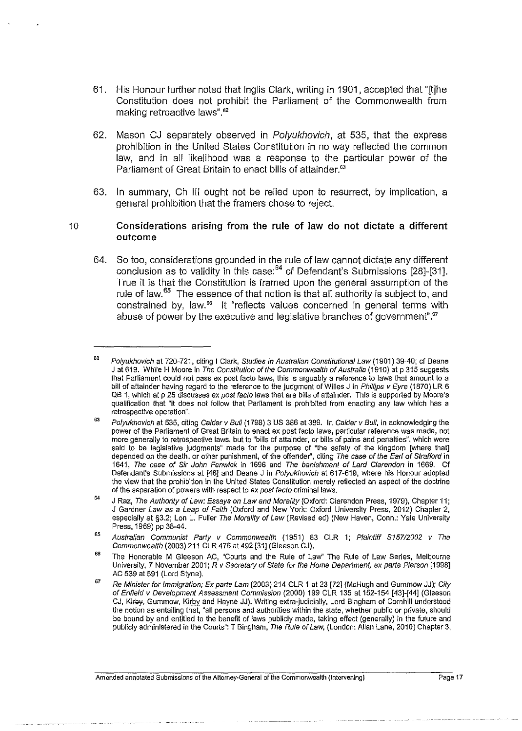- 61. His Honour further noted that Inglis Clark, writing in 1901, accepted that "[t]he Constitution does not prohibit the Parliament of the Commonwealth from making retroactive laws".<sup>62</sup>
- 62. Mason CJ separately observed in *Polyukhovich*, at 535, that the express prohibition in the United States Constitution in no way reflected the common law, and in all likelihood was a response to the particular power of the Parliament of Great Britain to enact bills of attainder.<sup>63</sup>
- 63. In summary, Ch Ill ought not be relied upon to resurrect, by implication, a general prohibition that the framers chose to reject.

#### 10 **Considerations arising from the rule of law do not dictate a different outcome**

64. So too, considerations grounded in the rule of Jaw cannot dictate any different conclusion as to validity in this case: $^{64}$  cf Defendant's Submissions [28]-[31]. True it is that the Constitution is framed upon the general assumption of the rule of law. 65 The essence of that notion is that all authority is subject to, and constrained by, law." It "reflects values concerned in general terms with abuse of power by the executive and legislative branches of government".<sup>67</sup>

<sup>62</sup>  Polyukhovich at 720-721, citing I Clark, Studies in Australian Constitutional Law (1901) 39-40; cf Deane J at 619. While H Moore in The Constitution of the Commonwealth of Australia (1910) at p 315 suggests that Parliament could not pass ex post facto laws, this is arguably a reference to laws that amount to a bill of attainder having regard to the reference to the judgment of Willes J in Phillips v Eyre (1870) LR 6 QB 1, which at p 25 discusses ex post facto laws that are bills of attainder. This is supported by Moore's qualification that "it does not follow that Parliament is prohibited from enacting any law which has a **retrospective operation".** 

<sup>63</sup>  Polyukhovich at 535, citing Calder v Bull (1798) 3 US 386 at 389. In Calder v Bull, in acknowledging the **power of the Parliament of Great Britain to enact ex post facto Jaws, particular reference was made, not**  more generally to retrospective laws, but to "bills of attainder, or bills of pains and penalties", which were said to be legislative judgments" made for the purpose of "the safety of the kingdom [where that] depended on the death, or other punishment, of the offender", citing The case of the Earl of Strafford in 1641, The case of Sir John Fenwick in 1696 and The banishment of Lard Clarendon in 1669. Cf Defendant's Submissions at [46] and Deane J in Polyukhovich at 617-619, where his Honour adopted the view that the prohibition in the United States Constitution merely reflected an aspect of the doctrine **of the separation of powers with respect to ex post facto criminal laws.** 

<sup>64</sup>  J Raz, The Authority of Law: Essays on Law and Morality (Oxford: Clarendon Press, 1979), Chapter 11; J Gardner Law as a Leap of Faith (Oxford and New York: Oxford University Press, 2012) Chapter 2, especially at §3.2; Lon L. Fuller The Morality of Law (Revised ed) (New Haven, Conn.: Yale University Press, 1969) pp 38-44.

<sup>65</sup>  Australian Communist Party v Commonwealth (1951) 83 CLR 1; Plaintiff S157/2002 v The Commonwealth (2003) 211 CLR 476 at 492 [31] (Gleeson CJ).

<sup>66</sup>  The Honorable M Gleeson AC, "Courts and the Rule of Law' The Rule of Law Series, Melbourne University, 7 November 2001; R v Secretary of State for the Home Department, ex parte Pierson [1998] AC 539 at 591 (Lord Styne).

<sup>67</sup>  Re Minister for Immigration; Ex parte Lam (2003) 214 CLR 1 at 23 [72] (McHugh and Gummow JJ); City of Enfield v Development Assessment Commission (2000) 199 CLR 135 at 152-154 [43]-[44] (Gleeson CJ, Kirby, Gummow, Kirby and Hayne JJ). Writing extra-judicially, Lord Bingham of Cornhill understood the notion as entailing that, "all persons and authorities within the state, whether public or private, should be bound by and entitled to the benefit of laws publicly made, taking effect (generally) in the future and publicly administered in the Courts": T Bingham, The Rule of Law, (London: Allan Lane, 2010) Chapter 3,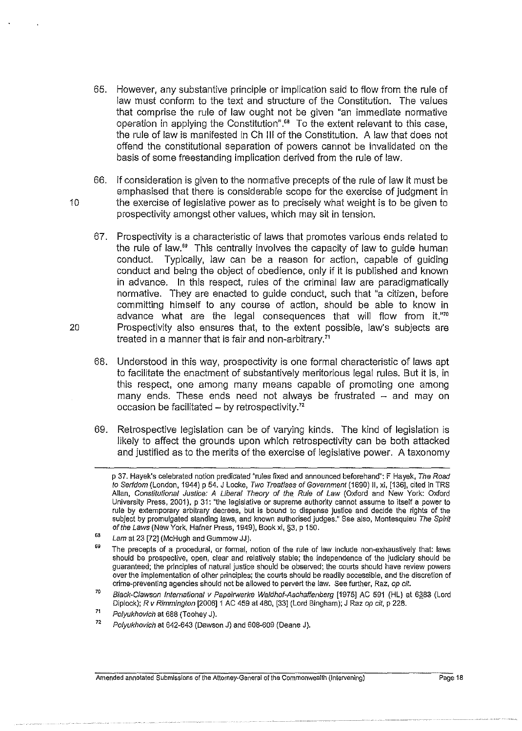- 65. However, any substantive principle or implication said to flow from the rule of law must conform to the text and structure of the Constitution. The values that comprise the rule of law ought not be given "an immediate normative operation in applying the Constitution"." To the extent relevant to this case, the rule of law is manifested inCh Ill of the Constitution. A law that does not offend the constitutional separation of powers cannot be invalidated on the basis of some freestanding implication derived from the rule of law.
- 66. If consideration is given to the normative precepts of the rule of law it must be emphasised that there is considerable scope for the exercise of judgment in 10 the exercise of legislative power as to precisely what weight is to be given to prospectivity amongst other values, which may sit in tension.
- 67. Prospectivity is a characteristic of laws that promotes various ends related to the rule of law." This centrally involves the capacity of law to guide human conduct. Typically, law can be a reason for action, capable of guiding conduct and being the object of obedience, only if it is published and known in advance. In this respect, rules of the criminal law are paradigmatically normative. They are enacted to guide conduct, such that "a citizen, before committing himself to any course of action, should be able to know in advance what are the legal consequences that will flow from it."<sup>70</sup> 20 Prospectivity also ensures that, to the extent possible, law's subjects are treated in a manner that is fair and non-arbitrary."
	- 68. Understood in this way, prospectivity is one formal characteristic of laws apt to facilitate the enactment of substantively meritorious legal rules. But it is, in this respect, one among many means capable of promoting one among many ends. These ends need not always be frustrated - and may on occasion be facilitated  $-$  by retrospectivity.<sup>72</sup>
	- 69. Retrospective legislation can be of varying kinds. The kind of legislation is likely to affect the grounds upon which retrospectivity can be both attacked and justified as to the merits of the exercise of legislative power. A taxonomy

p 37. Hayek's celebrated notion predicated "rules fixed and announced beforehand": F Hayek, The Road to Serfdom (London, 1944) p 54. J Locke, Two Treatises of Government (1690) II, xi, [136], cited in TRS Allan, Constitutional Justice: A Liberal Theory of the Rule of Law (Oxford and New York: Oxford University Press, 2001), p 31: "the legislative or supreme authority cannot assume to itself a power to rule by extemporary arbitrary decrees, but is bound to dispense justice and decide the rights of the subject by promulgated standing laws, and known authorised judges." See also, Montesquieu The Spirit of the Laws (New York, Hafner Press, 1949), Book xi, §3, p 150.

<sup>&</sup>quot; Lam at 23 [72] (McHugh and Gummow JJ).

<sup>69</sup>  The precepts of a procedural, or formal, notion of the rule of law include non-exhaustively that: laws should be prospective, open, clear and relatively stable; the independence of the judiciary should be guaranteed; the principles of natural justice should be observed; the courts should have review powers over the implementation of other principles; the courts should be readily accessible, and the discretion of crime-preventing agencies should not be allowed to pervert the law. See further, Raz, op cit.

<sup>70</sup>  Black-Clawson International v Papeirwerke Waldhof-Aschaffenberg [1975] AC 591 (HL) at 6383 (Lord Diplock); R v Rimmington [2006]1 AC 459 at 480, [33] (Lord Bingham); J Raz op cit, p 228.

<sup>71</sup>  Po/yukhovich at 688 (Toohey J).

<sup>72</sup>  Polyukhovich at 642-643 (Dawson J) and 608-609 (Deane J).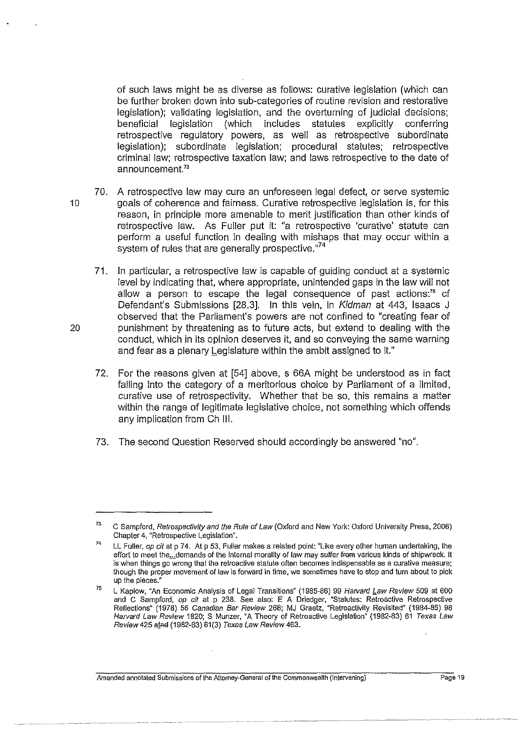of such laws might be as diverse as follows: curative legislation (which can be further broken down into sub-categories of routine revision and restorative legislation); validating legislation, and the overturning of judicial decisions; beneficial legislation (which includes statutes explicitly conferring retrospective regulatory powers, as well as retrospective subordinate legislation); subordinate legislation; procedural statutes; retrospective criminal law; retrospective taxation law; and laws retrospective to the date of announcement.<sup>73</sup>

- 70. A retrospective law may cure an unforeseen legal defect, or serve systemic 10 goals of coherence and fairness. Curative retrospective legislation is, for this reason, in principle more amenable to merit justification than other kinds of retrospective law. As Fuller put it: "a retrospective 'curative' statute can perform a useful function in dealing with mishaps that may occur within a system of rules that are generally prospective."<sup>74</sup>
- 71. In particular, a retrospective law is capable of guiding conduct at a systemic level by indicating that, where appropriate, unintended gaps in the law will not allow a person to escape the legal consequence of past actions:<sup>75</sup> cf Defendant's Submissions [28.3]. In this vein, in Kidman at 443, Isaacs J observed that the Parliament's powers are not confined to "creating fear of 20 punishment by threatening as to future acts, but extend to dealing with the conduct, which in its opinion deserves it, and so conveying the same warning and fear as a plenary Legislature within the ambit assigned to it."
	- 72. For the reasons given at [54] above, s 66A might be understood as in fact falling into the category of a meritorious choice by Parliament of a limited, curative use of retrospectivity. Whether that be so. this remains a matter within the range of legitimate legislative choice, not something which offends any implication from Ch III.
	- 73. The second Question Reserved should accordingly be answered "no".

<sup>73</sup> C Sampford, Retrospectivity and the Rule of Law (Oxford and New York: Oxford University Press, 2006) Chapter 4, "Retrospective Legislation".

<sup>74</sup>  LL Fuller, op cit at p 74. At p 53, Fuller makes a related point: "Like every other human undertaking, the effort to meet the...demands of the internal morality of law may suffer frem various kinds of shipwreck. It **is when things go wrong that the retroactive statute often becomes indispensable as a curative measure: though the proper movement of law is forward in time, we sometimes have to stop and tum about to pick**  up the pieces."

<sup>75</sup>  L Kaplow, "An Economic Analysis of Legal Transitions" (1985-86) 99 Harvard Law Review 509 at 600 and C Sampford, op cit at p 238. See also: E A Driedger, "Statutes: Retroactive Retrospective Refiections" (1978) 56 Canadian Bar Review 268; MJ Graetz, "Retroactivity Revisited" (1984-85) 98 Harvard Law Review 1820; S Munzer, "A Theory of Retroactive Legislation" (1982-83) 61 Texas Law Review 425 atnd (1982-83) 61(3) Texas Law Review 463.